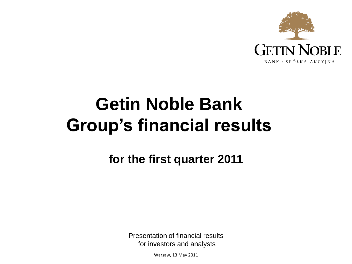

# **Getin Noble Bank Group's financial results**

**for the first quarter 2011**

Presentation of financial results for investors and analysts

Warsaw, 13 May 2011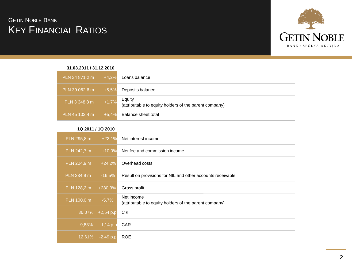# **KEY FINANCIAL RATIOS GETIN NOBLE BANK**



| 31.03.2011 / 31.12.2010 |         |                                                                  |
|-------------------------|---------|------------------------------------------------------------------|
| PLN 34 871,2 m          | $+4,2%$ | Loans balance                                                    |
| PLN 39 062,6 m          | $+5,5%$ | Deposits balance                                                 |
| PLN 3 348,8 m           | $+1,7%$ | Equity<br>(attributable to equity holders of the parent company) |
| PLN 45 102,4 m          | $+5.4%$ | Balance sheet total                                              |
|                         |         |                                                                  |

#### **1Q 2011 / 1Q 2010**

| PLN 295,8 m | $+22.1%$     | Net interest income                                                  |
|-------------|--------------|----------------------------------------------------------------------|
| PLN 242,7 m | $+10.0%$     | Net fee and commission income                                        |
| PLN 204,9 m | $+24,2%$     | Overhead costs                                                       |
| PLN 234,9 m | $-16,5%$     | Result on provisions for NIL and other accounts receivable           |
| PLN 128,2 m | $+280,3%$    | Gross profit                                                         |
| PLN 100,0 m | $-5,7%$      | Net income<br>(attributable to equity holders of the parent company) |
| 36,07%      | $+2,54$ p.p. | C/I                                                                  |
| 9,83%       | $-1,14$ p.p  | CAR                                                                  |
| $12,61\%$   | $-2,49$ p.p. | <b>ROE</b>                                                           |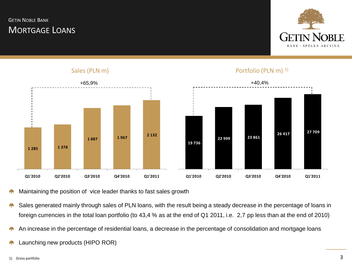# MORTGAGE LOANS **GETIN NOBLE BANK**



Portfolio (PLN m)<sup>1)</sup>



Sales (PLN m)

Maintaining the position of vice leader thanks to fast sales growth

- Sales generated mainly through sales of PLN loans, with the result being a steady decrease in the percentage of loans in foreign currencies in the total loan portfolio (to 43,4 % as at the end of Q1 2011, i.e. 2,7 pp less than at the end of 2010)
- An increase in the percentage of residential loans, a decrease in the percentage of consolidation and mortgage loans 52
- Launching new products (HIPO ROR)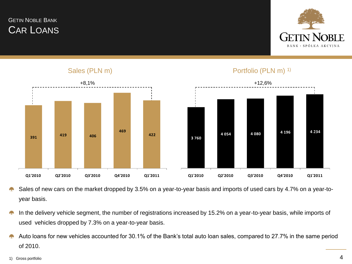# CAR LOANS GETIN NOBLE BANK



Portfolio (PLN m) <sup>1)</sup>



Sales (PLN m)

- Sales of new cars on the market dropped by 3.5% on a year-to-year basis and imports of used cars by 4.7% on a year-toyear basis.
- In the delivery vehicle segment, the number of registrations increased by 15.2% on a year-to-year basis, while imports of used vehicles dropped by 7.3% on a year-to-year basis.
- Auto loans for new vehicles accounted for 30.1% of the Bank's total auto loan sales, compared to 27.7% in the same period of 2010.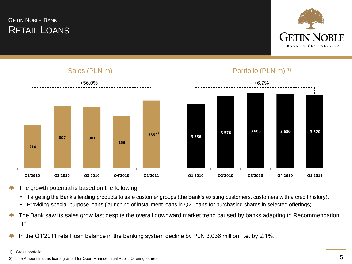# RETAIL LOANS GETIN NOBLE BANK



#### Sales (PLN m)



#### Portfolio (PLN m) <sup>1)</sup>



- The growth potential is based on the following:
	- Targeting the Bank's lending products to safe customer groups (the Bank's existing customers, customers with a credit history),
	- Providing special-purpose loans (launching of installment loans in Q2, loans for purchasing shares in selected offerings)
- The Bank saw its sales grow fast despite the overall downward market trend caused by banks adapting to Recommendation 42 "T".
- In the Q1'2011 retail loan balance in the banking system decline by PLN 3,036 million, i.e. by 2.1%.
- 1) Gross portfolio
- 2) The Amount inludes loans granted for Open Finance Initial Public Offering sahres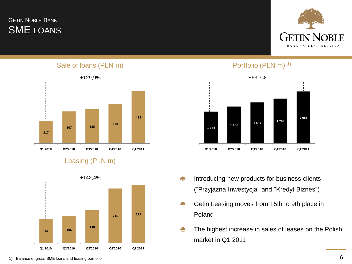# SME LOANS **GETIN NOBLE BANK**



Sale of loans (PLN m)



### Leasing (PLN m)



#### Portfolio (PLN m)<sup>1)</sup>



- Introducing new products for business clients د براه<br>مواليد ("Przyjazna Inwestycja" and "Kredyt Biznes")
- Getin Leasing moves from 15th to 9th place in **Contract** Poland
- The highest increase in sales of leases on the Polish market in Q1 2011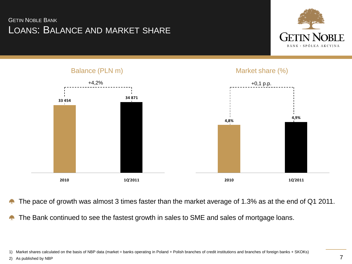# LOANS: BALANCE AND MARKET SHARE GETIN NOBLE BANK





- The pace of growth was almost 3 times faster than the market average of 1.3% as at the end of Q1 2011.  $\rightarrow$
- The Bank continued to see the fastest growth in sales to SME and sales of mortgage loans.

1) Market shares calculated on the basis of NBP data (market = banks operating in Poland + Polish branches of credit institutions and branches of foreign banks + SKOKs)

2) As published by NBP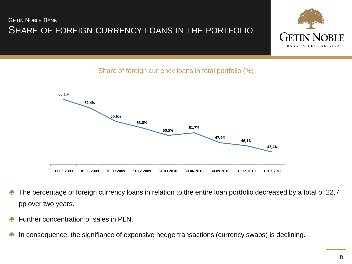# SHARE OF FOREIGN CURRENCY LOANS IN THE PORTFOLIO GETIN NOBLE BANK



Share of foreign currency loans in total portfolio (%)



- The percentage of foreign currency loans in relation to the entire loan portfolio decreased by a total of 22,7 pp over two years.
- Further concentration of sales in PLN.
- In consequence, the signifiance of expensive hedge transactions (currency swaps) is declining.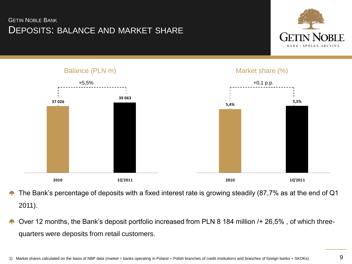# DEPOSITS: BALANCE AND MARKET SHARE GETIN NOBLE BANK





- The Bank's percentage of deposits with a fixed interest rate is growing steadily (87,7% as at the end of Q1 2011).
- Over 12 months, the Bank's deposit portfolio increased from PLN 8 184 million /+ 26,5% , of which threequarters were deposits from retail customers.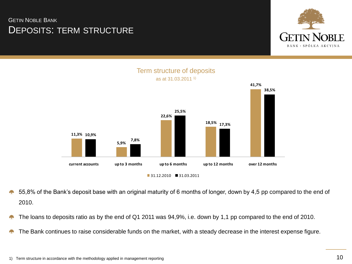# DEPOSITS: TERM STRUCTURE GETIN NOBLE BANK







- 55,8% of the Bank's deposit base with an original maturity of 6 months of longer, down by 4,5 pp compared to the end of 2010.
- The loans to deposits ratio as by the end of Q1 2011 was 94,9%, i.e. down by 1,1 pp compared to the end of 2010. ÷
- The Bank continues to raise considerable funds on the market, with a steady decrease in the interest expense figure.42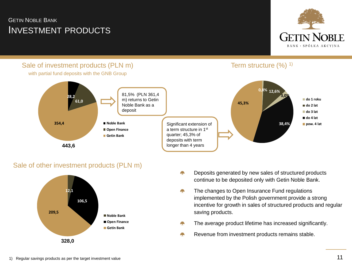# INVESTMENT PRODUCTS GETIN NOBLE BANK



## Sale of investment products (PLN m)



with partial fund deposits with the GNB Group



#### Sale of other investment products (PLN m)



- Deposits generated by new sales of structured products A. continue to be deposited only with Getin Noble Bank.
- ζ, The changes to Open Insurance Fund regulations implemented by the Polish government provide a strong incentive for growth in sales of structured products and regular saving products.
- The average product lifetime has increased significantly. г.
- Revenue from investment products remains stable.г.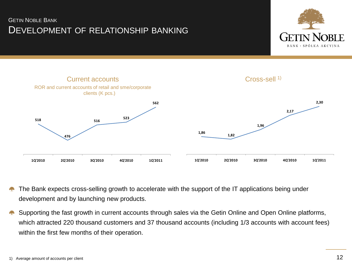# DEVELOPMENT OF RELATIONSHIP BANKING GETIN NOBLE BANK





- The Bank expects cross-selling growth to accelerate with the support of the IT applications being under development and by launching new products.
- Supporting the fast growth in current accounts through sales via the Getin Online and Open Online platforms, which attracted 220 thousand customers and 37 thousand accounts (including 1/3 accounts with account fees) within the first few months of their operation.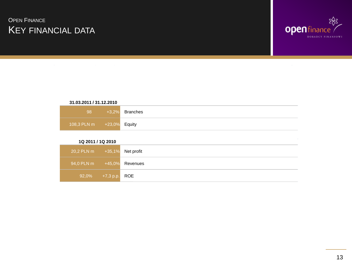# KEY FINANCIAL DATA **OPEN FINANCE**



#### **31.03.2011 / 31.12.2010**

| 98                            | $+3,2\%$ Branches |
|-------------------------------|-------------------|
| 108,3 PLN m   +23,0%   Equity |                   |

#### **1Q 2011 / 1Q 2010**

| 94,0 PLN m +45,0% Revenues |  |
|----------------------------|--|
| 92,0% +7,3 p.p. ROE        |  |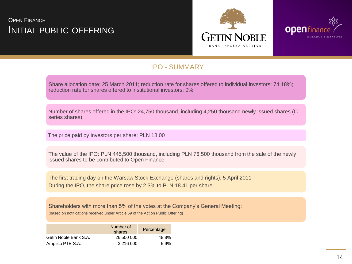# INITIAL PUBLIC OFFERING **OPEN FINANCE**





#### IPO - SUMMARY

Share allocation date: 25 March 2011; reduction rate for shares offered to individual investors: 74.18%; reduction rate for shares offered to institutional investors: 0%

Number of shares offered in the IPO: 24,750 thousand, including 4,250 thousand newly issued shares (C series shares)

The price paid by investors per share: PLN 18.00

The value of the IPO: PLN 445,500 thousand, including PLN 76,500 thousand from the sale of the newly issued shares to be contributed to Open Finance

The first trading day on the Warsaw Stock Exchange (shares and rights); 5 April 2011 During the IPO, the share price rose by 2.3% to PLN 18.41 per share

Shareholders with more than 5% of the votes at the Company's General Meeting: (based on notifications received under Article 69 of the Act on Public Offering)

|                       | Number of<br>shares | Percentage |
|-----------------------|---------------------|------------|
| Getin Noble Bank S.A. | 26 500 000          | 48.8%      |
| Amplico PTE S.A.      | 3 216 000           | 5.9%       |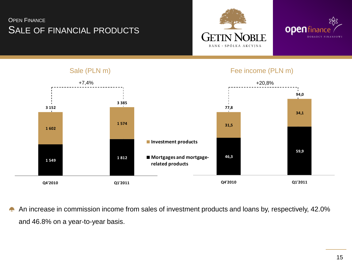# SALE OF FINANCIAL PRODUCTS **OPEN FINANCE**





#### +7,4% **46,3 59,9 31,5 34,1 77,8 94,0 Q4'2010 Q1'2011** +20,8% **1 549 1 812 1 602 1 574 3 152 3 385 Q4'2010 Q1'2011 Investment products Mortgages and mortgagerelated products**

An increase in commission income from sales of investment products and loans by, respectively, 42.0% and 46.8% on a year-to-year basis.

#### Sale (PLN m) Fee income (PLN m)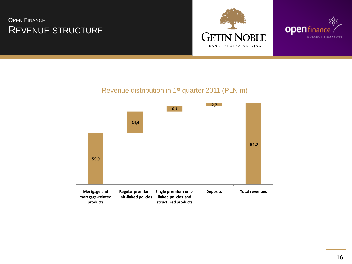# REVENUE STRUCTURE OPEN FINANCE





#### Revenue distribution in 1st quarter 2011 (PLN m)

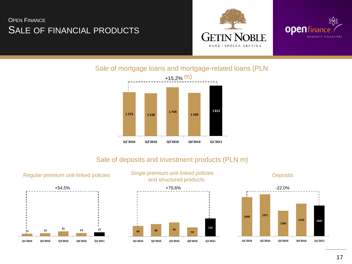# SALE OF FINANCIAL PRODUCTS **OPEN FINANCE**





Sale of mortgage loans and mortgage-related loans (PLN



#### Sale of deposits and investment products (PLN m)





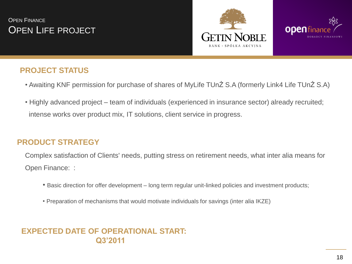# OPEN LIFE PROJECT **OPEN FINANCE**





# **PROJECT STATUS**

- Awaiting KNF permission for purchase of shares of MyLife TUnŻ S.A (formerly Link4 Life TUnŻ S.A)
- Highly advanced project team of individuals (experienced in insurance sector) already recruited; intense works over product mix, IT solutions, client service in progress.

# **PRODUCT STRATEGY**

Complex satisfaction of Clients' needs, putting stress on retirement needs, what inter alia means for Open Finance: :

- Basic direction for offer development long term regular unit-linked policies and investment products;
- Preparation of mechanisms that would motivate individuals for savings (inter alia IKZE)

# **EXPECTED DATE OF OPERATIONAL START: Q3'2011**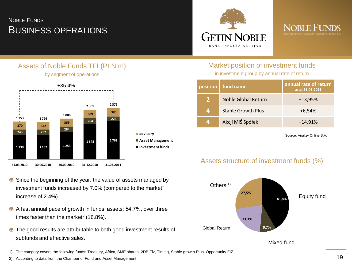# BUSINESS OPERATIONS NOBLE FUNDS





#### Assets of Noble Funds TFI (PLN m) by segment of operations



- Since the beginning of the year, the value of assets managed by investment funds increased by  $7.0\%$  (compared to the market<sup>2</sup> increase of 2.4%).
- A fast annual pace of growth in funds' assets: 54.7%, over three times faster than the market<sup>2</sup> (16.8%).
- $\triangle$  The good results are attributable to both good investment results of subfunds and effective sales.
- 1) The category covers the following funds: Treasury, Africa, SME shares, 2DB Fiz, Timing, Stable growth Plus, Opportunity FIZ
- 2) According to data from the Chamber of Fund and Asset Management

#### Market position of investment funds

in investment group by annual rate of return

|              | position   fund name       | annual rate of return<br>as at 31.03.2011 |  |  |
|--------------|----------------------------|-------------------------------------------|--|--|
| $\mathbf{p}$ | <b>Noble Global Return</b> | $+13,95%$                                 |  |  |
| 4            | <b>Stable Growth Plus</b>  | $+6,54%$                                  |  |  |
| 4            | Akcji MiŚ Spółek           | $+14,91%$                                 |  |  |

Source: Analizy Online S.A.

#### Assets structure of investment funds (%)



Mixed fund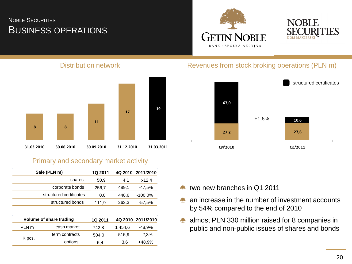# BUSINESS OPERATIONS NOBLE SECURITIES





#### Distribution network



#### Primary and secondary market activity

|                  | Sale (PLN m)            | <b>1Q 2011</b> | 4Q 2010 | 2011/2010  |
|------------------|-------------------------|----------------|---------|------------|
|                  | shares                  | 50.9           | 4.1     | x12,4      |
|                  | corporate bonds         | 256,7          | 489,1   | -47.5%     |
|                  | structured certificates | 0,0            | 448,6   | $-100.0\%$ |
|                  | structured bonds        |                | 263,3   | $-57.5%$   |
|                  |                         |                |         |            |
|                  | Volume of share trading |                | 4Q 2010 | 2011/2010  |
| PLN <sub>m</sub> | cash market             | 742.8          | 1454,6  | $-48.9%$   |
|                  | term contracts          | 504.0          | 515,9   | $-2,3%$    |
| K pcs.           | options                 | 5,4            | 3,6     | +48,9%     |
|                  |                         |                |         |            |

#### Revenues from stock broking operations (PLN m)



- two new branches in Q1 2011
- an increase in the number of investment accounts **Contract** by 54% compared to the end of 2010
- **A** almost PLN 330 million raised for 8 companies in public and non-public issues of shares and bonds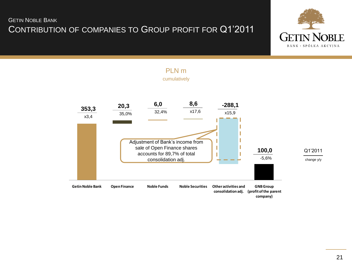# CONTRIBUTION OF COMPANIES TO GROUP PROFIT FOR Q1'2011 GETIN NOBLE BANK





# PLN m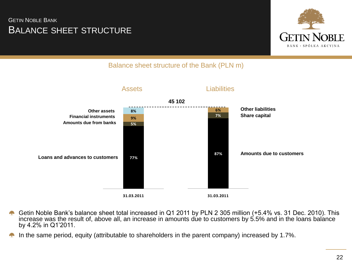# BALANCE SHEET STRUCTURE GETIN NOBLE BANK



### Balance sheet structure of the Bank (PLN m)



- Getin Noble Bank's balance sheet total increased in Q1 2011 by PLN 2 305 million (+5.4% vs. 31 Dec. 2010). This increase was the result of, above all, an increase in amounts due to customers by 5.5% and in the loans balance by 4.2% in Q1'2011.
- In the same period, equity (attributable to shareholders in the parent company) increased by 1.7%.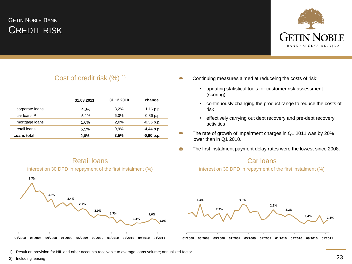# CREDIT RISK GETIN NOBLE BANK



#### Cost of credit risk (%) <sup>1)</sup>

|                   | 31.03.2011 | 31.12.2010 | change       |
|-------------------|------------|------------|--------------|
| corporate loans   | 4.3%       | 3.2%       | $1,16$ p.p.  |
| car loans $^{2)}$ | 5.1%       | 6.0%       | $-0,86$ p.p. |
| mortgage loans    | 1,6%       | 2.0%       | $-0,35$ p.p. |
| retail loans      | 5,5%       | 9.9%       | $-4,44$ p.p. |
| Loans total       | 2,6%       | 3,5%       | $-0,90$ p.p. |

#### Retail loans





Continuing measures aimed at reduceing the costs of risk:

- updating statistical tools for customer risk assessment (scoring)
- continuously changing the product range to reduce the costs of risk
- effectively carrying out debt recovery and pre-debt recovery activities
- The rate of growth of impairment charges in Q1 2011 was by 20% lower than in Q1 2010.

an pa

The first instalment payment delay rates were the lowest since 2008. $\mathcal{L}_{\text{max}}$ 

#### Car loans

interest on 30 DPD in repayment of the first instalment (%)



- 1) Result on provision for NIL and other accounts receivable to average loans volume; annualized factor
- 2) Including leasing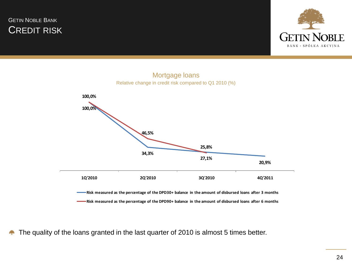





The quality of the loans granted in the last quarter of 2010 is almost 5 times better.42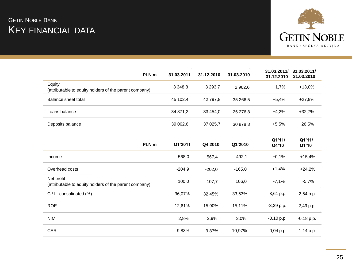# KEY FINANCIAL DATA **GETIN NOBLE BANK**



| PLN <sub>m</sub>                                                     | 31.03.2011  | 31.12.2010  | 31.03.2010 | 31.03.2011/<br>31.12.2010 | 31.03.2011/<br>31.03.2010 |
|----------------------------------------------------------------------|-------------|-------------|------------|---------------------------|---------------------------|
| Equity<br>(attributable to equity holders of the parent company)     | 3 3 4 8 , 8 | 3 2 9 3 , 7 | 2 9 6 2, 6 | $+1,7%$                   | $+13,0%$                  |
| Balance sheet total                                                  | 45 102,4    | 42 797,8    | 35 266,5   | $+5,4%$                   | $+27,9%$                  |
| Loans balance                                                        | 34 871,2    | 33 454,0    | 26 276,8   | $+4,2%$                   | $+32,7%$                  |
| Deposits balance                                                     | 39 062,6    | 37 025,7    | 30 878,3   | $+5,5%$                   | $+26,5%$                  |
| PLN <sub>m</sub>                                                     | Q1'2011     | Q4'2010     | Q1'2010    | Q1'11/<br>Q4'10           | Q1'11/<br>Q1'10           |
| Income                                                               | 568,0       | 567,4       | 492,1      | $+0,1%$                   | $+15,4%$                  |
| Overhead costs                                                       | $-204,9$    | $-202,0$    | $-165,0$   | $+1,4%$                   | $+24,2%$                  |
| Net profit<br>(attributable to equity holders of the parent company) | 100,0       | 107,7       | 106,0      | $-7,1%$                   | $-5,7%$                   |
| $C / I$ - consolidated (%)                                           | 36,07%      | 32,45%      | 33,53%     | 3,61 p.p.                 | 2,54 p.p.                 |
| <b>ROE</b>                                                           | 12,61%      | 15,90%      | 15,11%     | $-3,29$ p.p.              | $-2,49$ p.p.              |
| <b>NIM</b>                                                           | 2,8%        | 2,9%        | 3,0%       | $-0,10$ p.p.              | $-0,18$ p.p.              |
| CAR                                                                  | 9,83%       | 9,87%       | 10,97%     | $-0,04$ p.p.              | $-1,14$ p.p.              |